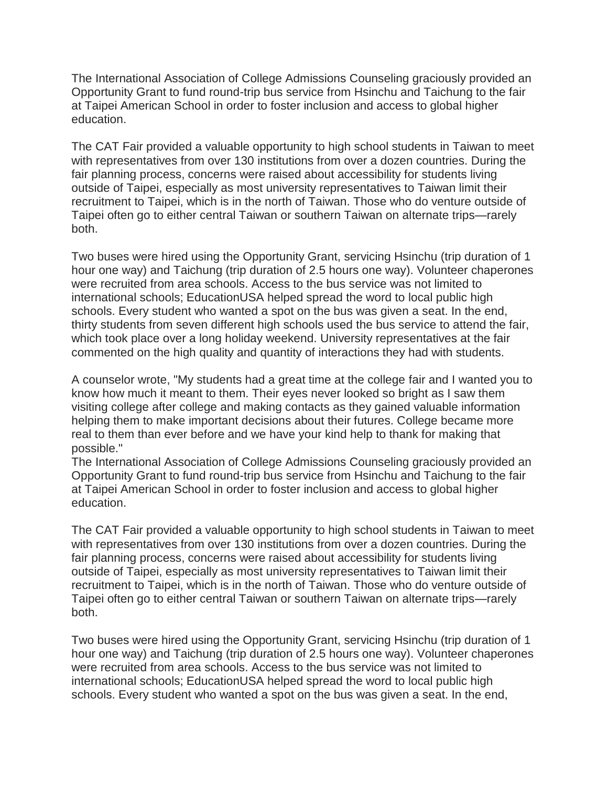The International Association of College Admissions Counseling graciously provided an Opportunity Grant to fund round-trip bus service from Hsinchu and Taichung to the fair at Taipei American School in order to foster inclusion and access to global higher education.

The CAT Fair provided a valuable opportunity to high school students in Taiwan to meet with representatives from over 130 institutions from over a dozen countries. During the fair planning process, concerns were raised about accessibility for students living outside of Taipei, especially as most university representatives to Taiwan limit their recruitment to Taipei, which is in the north of Taiwan. Those who do venture outside of Taipei often go to either central Taiwan or southern Taiwan on alternate trips—rarely both.

Two buses were hired using the Opportunity Grant, servicing Hsinchu (trip duration of 1 hour one way) and Taichung (trip duration of 2.5 hours one way). Volunteer chaperones were recruited from area schools. Access to the bus service was not limited to international schools; EducationUSA helped spread the word to local public high schools. Every student who wanted a spot on the bus was given a seat. In the end, thirty students from seven different high schools used the bus service to attend the fair, which took place over a long holiday weekend. University representatives at the fair commented on the high quality and quantity of interactions they had with students.

A counselor wrote, "My students had a great time at the college fair and I wanted you to know how much it meant to them. Their eyes never looked so bright as I saw them visiting college after college and making contacts as they gained valuable information helping them to make important decisions about their futures. College became more real to them than ever before and we have your kind help to thank for making that possible."

The International Association of College Admissions Counseling graciously provided an Opportunity Grant to fund round-trip bus service from Hsinchu and Taichung to the fair at Taipei American School in order to foster inclusion and access to global higher education.

The CAT Fair provided a valuable opportunity to high school students in Taiwan to meet with representatives from over 130 institutions from over a dozen countries. During the fair planning process, concerns were raised about accessibility for students living outside of Taipei, especially as most university representatives to Taiwan limit their recruitment to Taipei, which is in the north of Taiwan. Those who do venture outside of Taipei often go to either central Taiwan or southern Taiwan on alternate trips—rarely both.

Two buses were hired using the Opportunity Grant, servicing Hsinchu (trip duration of 1 hour one way) and Taichung (trip duration of 2.5 hours one way). Volunteer chaperones were recruited from area schools. Access to the bus service was not limited to international schools; EducationUSA helped spread the word to local public high schools. Every student who wanted a spot on the bus was given a seat. In the end,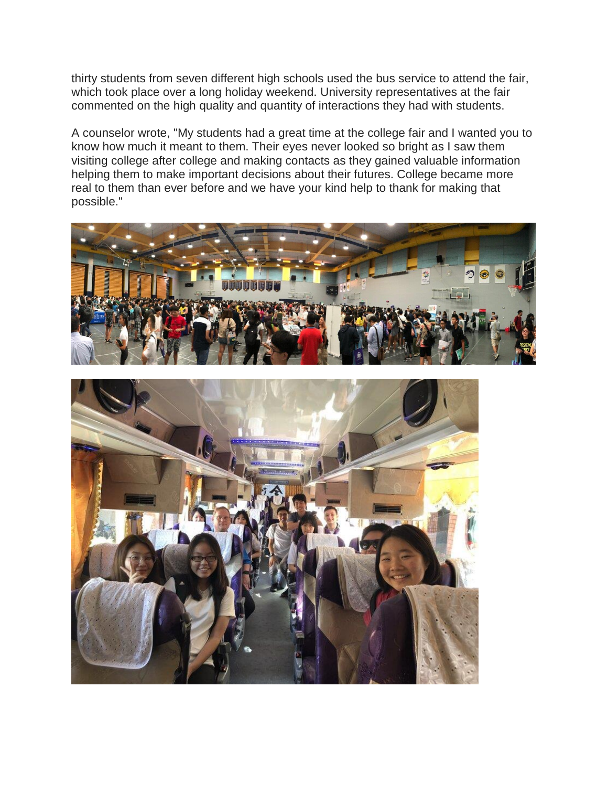thirty students from seven different high schools used the bus service to attend the fair, which took place over a long holiday weekend. University representatives at the fair commented on the high quality and quantity of interactions they had with students.

A counselor wrote, "My students had a great time at the college fair and I wanted you to know how much it meant to them. Their eyes never looked so bright as I saw them visiting college after college and making contacts as they gained valuable information helping them to make important decisions about their futures. College became more real to them than ever before and we have your kind help to thank for making that possible."